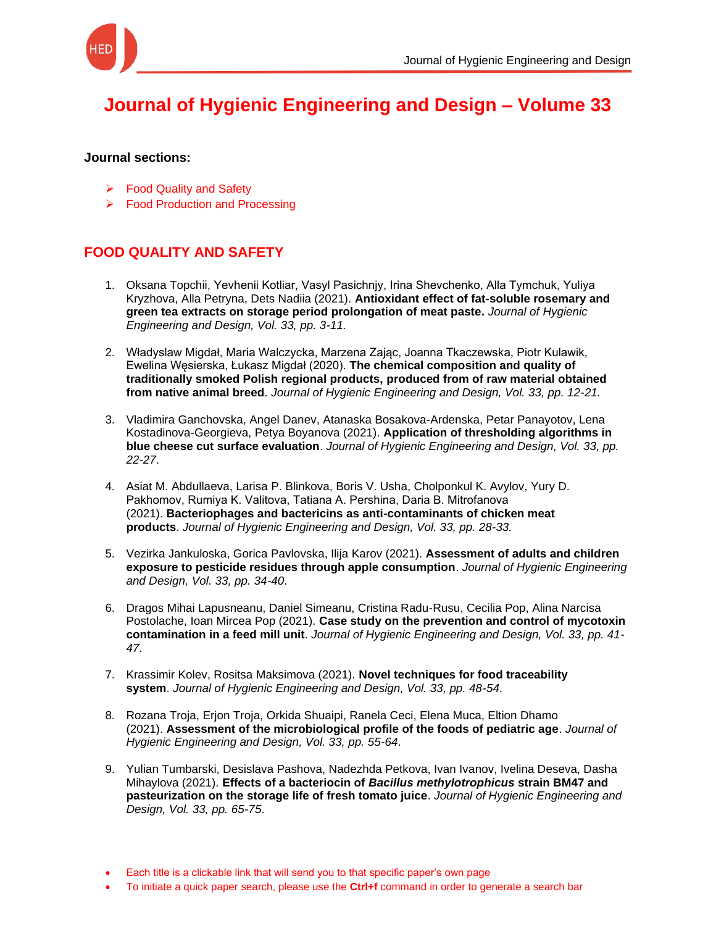

## **[Journal of Hygienic Engineering and Design –](https://keypublishing.org/jhed/jhed-volumes/jhed-volume-33/) Volume 33**

## **Journal sections:**

- ➢ Food Quality and Safety
- ➢ Food Production and Processing

## **FOOD QUALITY AND SAFETY**

- 1. [Oksana Topchii, Yevhenii Kotliar, Vasyl Pasichnjy, Іrina Shevchenko, Alla Tymchuk, Yuliya](https://keypublishing.org/jhed/jhed-volumes/jhed-volume-33-fqs-1-oksana-topchii-yevhenii-kotliar-vasyl-pasichnjy-%d1%96rina-shevchenko-alla-tymchuk-yuliya-kryzhova-alla-petryna-dets-nadiia-2020-antioxidant-effect-of-fat-solub/)  Kryzhova, Alla Petryna, Dets Nadiia (2021). **[Antioxidant effect of fat-soluble rosemary and](https://keypublishing.org/jhed/jhed-volumes/jhed-volume-33-fqs-1-oksana-topchii-yevhenii-kotliar-vasyl-pasichnjy-%d1%96rina-shevchenko-alla-tymchuk-yuliya-kryzhova-alla-petryna-dets-nadiia-2020-antioxidant-effect-of-fat-solub/)  [green tea extracts on storage period prolongation of meat paste.](https://keypublishing.org/jhed/jhed-volumes/jhed-volume-33-fqs-1-oksana-topchii-yevhenii-kotliar-vasyl-pasichnjy-%d1%96rina-shevchenko-alla-tymchuk-yuliya-kryzhova-alla-petryna-dets-nadiia-2020-antioxidant-effect-of-fat-solub/)** *Journal of Hygienic [Engineering and Design, Vol. 33, pp. 3-11.](https://keypublishing.org/jhed/jhed-volumes/jhed-volume-33-fqs-1-oksana-topchii-yevhenii-kotliar-vasyl-pasichnjy-%d1%96rina-shevchenko-alla-tymchuk-yuliya-kryzhova-alla-petryna-dets-nadiia-2020-antioxidant-effect-of-fat-solub/)*
- 2. [Władyslaw Migdał, Maria Walczycka, Marzena Zając, Joanna Tkaczewska, Piotr Kulawik,](https://keypublishing.org/jhed/jhed-volumes/jhed-volume-33-fqs-2-wladyslaw-migdal-maria-walczycka-marzena-zajac-joanna-tkaczewska-piotr-kulawik-ewelina-wesierska-lukasz-migdal-2020-the-chemical-composition-and-quality-of-tradi/)  Ewelina Węsierska, Łukasz Migdał (2020). **[The chemical composition and quality of](https://keypublishing.org/jhed/jhed-volumes/jhed-volume-33-fqs-2-wladyslaw-migdal-maria-walczycka-marzena-zajac-joanna-tkaczewska-piotr-kulawik-ewelina-wesierska-lukasz-migdal-2020-the-chemical-composition-and-quality-of-tradi/)  [traditionally smoked Polish regional products, produced from of raw material obtained](https://keypublishing.org/jhed/jhed-volumes/jhed-volume-33-fqs-2-wladyslaw-migdal-maria-walczycka-marzena-zajac-joanna-tkaczewska-piotr-kulawik-ewelina-wesierska-lukasz-migdal-2020-the-chemical-composition-and-quality-of-tradi/)  from native animal breed**. *[Journal of Hygienic Engineering and Design, Vol. 33, pp. 12-21.](https://keypublishing.org/jhed/jhed-volumes/jhed-volume-33-fqs-2-wladyslaw-migdal-maria-walczycka-marzena-zajac-joanna-tkaczewska-piotr-kulawik-ewelina-wesierska-lukasz-migdal-2020-the-chemical-composition-and-quality-of-tradi/)*
- 3. [Vladimira Ganchovska, Angel Danev, Atanaska Bosakova-Ardenska, Petar Panayotov, Lena](https://keypublishing.org/jhed/jhed-volumes/jhed-volume-33-fqs-1-vladimira-ganchovska-angel-danev-atanaska-bosakova-ardenska-petar-panayotov-lena-kostadinova-georgieva-petya-boyanova-2020-application-of-thresholding-algorithms/)  [Kostadinova-Georgieva, Petya Boyanova \(2021\).](https://keypublishing.org/jhed/jhed-volumes/jhed-volume-33-fqs-1-vladimira-ganchovska-angel-danev-atanaska-bosakova-ardenska-petar-panayotov-lena-kostadinova-georgieva-petya-boyanova-2020-application-of-thresholding-algorithms/) **Application of thresholding algorithms in blue cheese cut surface evaluation**. *[Journal of Hygienic Engineering and Design, Vol. 33, pp.](https://keypublishing.org/jhed/jhed-volumes/jhed-volume-33-fqs-1-vladimira-ganchovska-angel-danev-atanaska-bosakova-ardenska-petar-panayotov-lena-kostadinova-georgieva-petya-boyanova-2020-application-of-thresholding-algorithms/)  [22-27](https://keypublishing.org/jhed/jhed-volumes/jhed-volume-33-fqs-1-vladimira-ganchovska-angel-danev-atanaska-bosakova-ardenska-petar-panayotov-lena-kostadinova-georgieva-petya-boyanova-2020-application-of-thresholding-algorithms/)*.
- 4. [Asiat M. Abdullaeva, Larisa P. Blinkova, Boris V. Usha, Cholponkul K. Avylov, Yury D.](https://keypublishing.org/jhed/jhed-volumes/jhed-volume-33-fqs-4-asiat-m-abdullaeva-larisa-p-blinkova-boris-v-usha-cholponkul-k-avylov-yury-d-pakhomov-rumiya-k-valitova-tatiana-a-pershina-daria-b-mitrofanov%d0%b0-2020/)  [Pakhomov, Rumiya K. Valitova, Tatiana A. Pershina, Daria B. Mitrofanovа](https://keypublishing.org/jhed/jhed-volumes/jhed-volume-33-fqs-4-asiat-m-abdullaeva-larisa-p-blinkova-boris-v-usha-cholponkul-k-avylov-yury-d-pakhomov-rumiya-k-valitova-tatiana-a-pershina-daria-b-mitrofanov%d0%b0-2020/)  (2021). **[Bacteriophages and bactericins as anti-contaminants of chicken meat](https://keypublishing.org/jhed/jhed-volumes/jhed-volume-33-fqs-4-asiat-m-abdullaeva-larisa-p-blinkova-boris-v-usha-cholponkul-k-avylov-yury-d-pakhomov-rumiya-k-valitova-tatiana-a-pershina-daria-b-mitrofanov%d0%b0-2020/)  products**. *[Journal of Hygienic Engineering and Design, Vol. 33, pp. 28-33.](https://keypublishing.org/jhed/jhed-volumes/jhed-volume-33-fqs-4-asiat-m-abdullaeva-larisa-p-blinkova-boris-v-usha-cholponkul-k-avylov-yury-d-pakhomov-rumiya-k-valitova-tatiana-a-pershina-daria-b-mitrofanov%d0%b0-2020/)*
- 5. [Vezirka Jankuloska, Gorica Pavlovska, Ilija Karov \(2021\).](https://keypublishing.org/jhed/jhed-volumes/jhed-volume-33-fqs-5-vezirka-jankuloska-gorica-pavlovska-ilija-karov-2020-assessment-of-adults-and-children-exposure-to-pesticide-residues-through-apple-consumption/) **Assessment of adults and children [exposure to pesticide residues through apple consumption](https://keypublishing.org/jhed/jhed-volumes/jhed-volume-33-fqs-5-vezirka-jankuloska-gorica-pavlovska-ilija-karov-2020-assessment-of-adults-and-children-exposure-to-pesticide-residues-through-apple-consumption/)**. *Journal of Hygienic Engineering [and Design, Vol. 33, pp. 34-40](https://keypublishing.org/jhed/jhed-volumes/jhed-volume-33-fqs-5-vezirka-jankuloska-gorica-pavlovska-ilija-karov-2020-assessment-of-adults-and-children-exposure-to-pesticide-residues-through-apple-consumption/)*.
- 6. [Dragos Mihai Lapusneanu, Daniel Simeanu, Cristina Radu-Rusu, Cecilia Pop, Alina Narcisa](https://keypublishing.org/jhed/jhed-volumes/jhed-volume-33-fqs-6-dragos-mihai-lapusneanu-daniel-simeanu-cristina-radu-rusu-cecilia-pop-alina-narcisa-postolache-ioan-mircea-pop-2020-case-study-on-the-prevention-and-control-of-my/)  Postolache, Ioan Mircea Pop (2021). **[Case study on the prevention and control of mycotoxin](https://keypublishing.org/jhed/jhed-volumes/jhed-volume-33-fqs-6-dragos-mihai-lapusneanu-daniel-simeanu-cristina-radu-rusu-cecilia-pop-alina-narcisa-postolache-ioan-mircea-pop-2020-case-study-on-the-prevention-and-control-of-my/)  contamination in a feed mill unit**. *[Journal of Hygienic Engineering and Design, Vol. 33, pp. 41-](https://keypublishing.org/jhed/jhed-volumes/jhed-volume-33-fqs-6-dragos-mihai-lapusneanu-daniel-simeanu-cristina-radu-rusu-cecilia-pop-alina-narcisa-postolache-ioan-mircea-pop-2020-case-study-on-the-prevention-and-control-of-my/) [47](https://keypublishing.org/jhed/jhed-volumes/jhed-volume-33-fqs-6-dragos-mihai-lapusneanu-daniel-simeanu-cristina-radu-rusu-cecilia-pop-alina-narcisa-postolache-ioan-mircea-pop-2020-case-study-on-the-prevention-and-control-of-my/)*.
- 7. [Krassimir Kolev, Rositsa Maksimova \(2021\).](https://keypublishing.org/jhed/jhed-volumes/jhed-volume-33-fqs-7-krassimir-kolev-rositsa-maksimova-2020-novel-techniques-for-food-traceability-system/) **Novel techniques for food traceability system**. *[Journal of Hygienic Engineering and Design, Vol. 33, pp. 48-54](https://keypublishing.org/jhed/jhed-volumes/jhed-volume-33-fqs-7-krassimir-kolev-rositsa-maksimova-2020-novel-techniques-for-food-traceability-system/)*.
- 8. [Rozana Troja, Erjon Troja, Orkida Shuaipi, Ranela Ceci, Elena Muca, Eltion Dhamo](https://keypublishing.org/jhed/jhed-volumes/jhed-volume-33-fqs-8-rozana-troja-erjon-troja-orkida-shuaipi-ranela-ceci-elena-muca-eltion-dhamo-2020-assessment-of-the-microbiological-profile-of-the-foods-of-pediatric-age/)  (2021). **[Assessment of the microbiological profile of the foods of pediatric age](https://keypublishing.org/jhed/jhed-volumes/jhed-volume-33-fqs-8-rozana-troja-erjon-troja-orkida-shuaipi-ranela-ceci-elena-muca-eltion-dhamo-2020-assessment-of-the-microbiological-profile-of-the-foods-of-pediatric-age/)**. *Journal of [Hygienic Engineering and Design, Vol. 33, pp. 55-64](https://keypublishing.org/jhed/jhed-volumes/jhed-volume-33-fqs-8-rozana-troja-erjon-troja-orkida-shuaipi-ranela-ceci-elena-muca-eltion-dhamo-2020-assessment-of-the-microbiological-profile-of-the-foods-of-pediatric-age/)*.
- 9. [Yulian Tumbarski, Desislava Pashova, Nadezhda Petkova, Ivan Ivanov, Ivelina Deseva, Dasha](https://keypublishing.org/jhed/jhed-volumes/jhed-volume-33-fqs-9-yulian-tumbarski-desislava-pashova-nadezhda-petkova-ivan-ivanov-ivelina-deseva-dasha-mihaylova-2020-effects-of-a-bacteriocin-of-bacillus-methylotrophicus-strain-b/)  Mihaylova (2021). **Effects of a bacteriocin of** *[Bacillus methylotrophicus](https://keypublishing.org/jhed/jhed-volumes/jhed-volume-33-fqs-9-yulian-tumbarski-desislava-pashova-nadezhda-petkova-ivan-ivanov-ivelina-deseva-dasha-mihaylova-2020-effects-of-a-bacteriocin-of-bacillus-methylotrophicus-strain-b/)* **strain BM47 and [pasteurization on the storage life of fresh tomato juice](https://keypublishing.org/jhed/jhed-volumes/jhed-volume-33-fqs-9-yulian-tumbarski-desislava-pashova-nadezhda-petkova-ivan-ivanov-ivelina-deseva-dasha-mihaylova-2020-effects-of-a-bacteriocin-of-bacillus-methylotrophicus-strain-b/)**. *Journal of Hygienic Engineering and [Design, Vol. 33, pp. 65-75](https://keypublishing.org/jhed/jhed-volumes/jhed-volume-33-fqs-9-yulian-tumbarski-desislava-pashova-nadezhda-petkova-ivan-ivanov-ivelina-deseva-dasha-mihaylova-2020-effects-of-a-bacteriocin-of-bacillus-methylotrophicus-strain-b/)*.

• To initiate a quick paper search, please use the **Ctrl+f** command in order to generate a search bar

<sup>•</sup> Each title is a clickable link that will send you to that specific paper's own page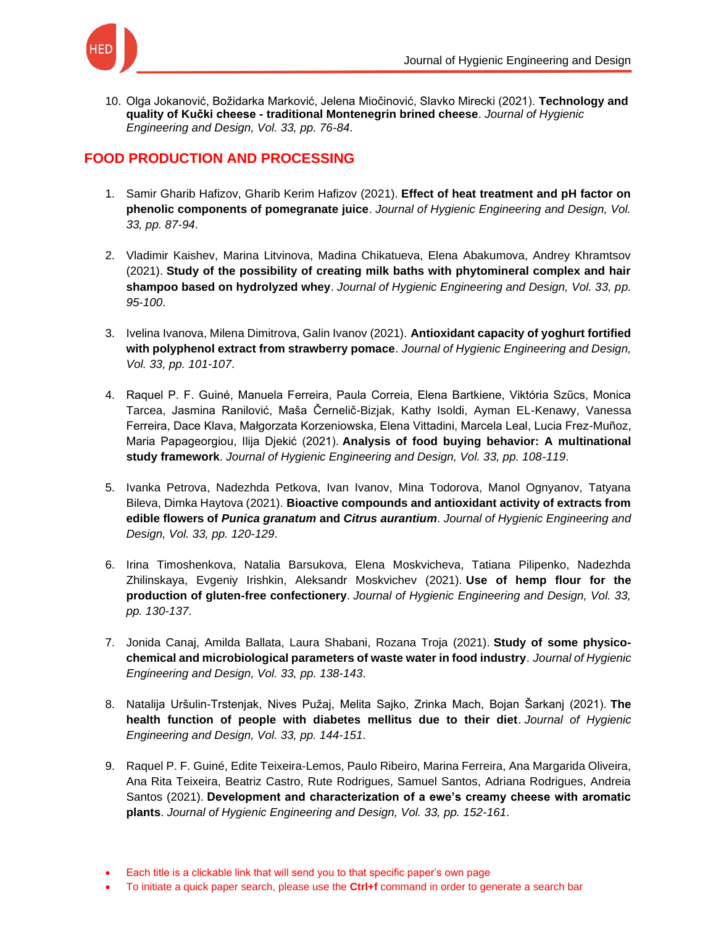

10. [Olga Jokanović, Božidarka Marković, Jelena](https://keypublishing.org/jhed/jhed-volumes/jhed-volume-33-fqs-10-olga-jokanovic-bozidarka-markovic-jelena-miocinovic-slavko-mirecki-2020-technology-and-quality-of-kucki-cheese-traditional-montenegrin-brined-cheese/) Miočinović, Slavko Mirecki (2021). **Technology and quality of Kučki cheese - [traditional Montenegrin brined cheese](https://keypublishing.org/jhed/jhed-volumes/jhed-volume-33-fqs-10-olga-jokanovic-bozidarka-markovic-jelena-miocinovic-slavko-mirecki-2020-technology-and-quality-of-kucki-cheese-traditional-montenegrin-brined-cheese/)**. *Journal of Hygienic [Engineering and Design, Vol. 33, pp. 76-84](https://keypublishing.org/jhed/jhed-volumes/jhed-volume-33-fqs-10-olga-jokanovic-bozidarka-markovic-jelena-miocinovic-slavko-mirecki-2020-technology-and-quality-of-kucki-cheese-traditional-montenegrin-brined-cheese/)*.

## **FOOD PRODUCTION AND PROCESSING**

- 1. [Samir Gharib Hafizov, Gharib Kerim Hafizov \(2021\).](https://keypublishing.org/jhed/jhed-volumes/jhed-volume-33-fpp-1-samir-gharib-hafizov-gharib-kerim-hafizov-2020-effect-of-heat-treatment-and-ph-factor-on-phenolic-components-of-pomegranate-juice/) **Effect of heat treatment and pH factor on phenolic components of pomegranate juice**. *[Journal of Hygienic Engineering and Design, Vol.](https://keypublishing.org/jhed/jhed-volumes/jhed-volume-33-fpp-1-samir-gharib-hafizov-gharib-kerim-hafizov-2020-effect-of-heat-treatment-and-ph-factor-on-phenolic-components-of-pomegranate-juice/)  [33, pp. 87-94](https://keypublishing.org/jhed/jhed-volumes/jhed-volume-33-fpp-1-samir-gharib-hafizov-gharib-kerim-hafizov-2020-effect-of-heat-treatment-and-ph-factor-on-phenolic-components-of-pomegranate-juice/)*.
- 2. [Vladimir Kaishev, Marina Litvinova, Madina Chikatueva, Elena Abakumova, Andrey Khramtsov](https://keypublishing.org/jhed/jhed-volumes/jhed-volume-33-fpp-2-vladimir-kaishev-marina-litvinova-madina-chikatueva-elena-abakumova-andrey-khramtsov-2020-study-of-the-possibility-of-creating-milk-baths-with-phytomineral-complex/)  (2021). **[Study of the possibility of creating milk baths with phytomineral complex and hair](https://keypublishing.org/jhed/jhed-volumes/jhed-volume-33-fpp-2-vladimir-kaishev-marina-litvinova-madina-chikatueva-elena-abakumova-andrey-khramtsov-2020-study-of-the-possibility-of-creating-milk-baths-with-phytomineral-complex/)  shampoo based on hydrolyzed whey**. *[Journal of Hygienic Engineering and Design, Vol. 33, pp.](https://keypublishing.org/jhed/jhed-volumes/jhed-volume-33-fpp-2-vladimir-kaishev-marina-litvinova-madina-chikatueva-elena-abakumova-andrey-khramtsov-2020-study-of-the-possibility-of-creating-milk-baths-with-phytomineral-complex/)  [95-100](https://keypublishing.org/jhed/jhed-volumes/jhed-volume-33-fpp-2-vladimir-kaishev-marina-litvinova-madina-chikatueva-elena-abakumova-andrey-khramtsov-2020-study-of-the-possibility-of-creating-milk-baths-with-phytomineral-complex/)*.
- 3. [Ivelina Ivanova, Milena Dimitrova, Galin Ivanov \(2021\).](https://keypublishing.org/jhed/jhed-volumes/jhed-volume-33-fpp-3-ivelina-ivanova-milena-dimitrova-galin-ivanov-2020-antioxidant-capacity-of-yoghurt-fortified-with-polyphenol-extract-from-strawberry-pomace/) **Antioxidant capacity of yoghurt fortified [with polyphenol extract from strawberry pomace](https://keypublishing.org/jhed/jhed-volumes/jhed-volume-33-fpp-3-ivelina-ivanova-milena-dimitrova-galin-ivanov-2020-antioxidant-capacity-of-yoghurt-fortified-with-polyphenol-extract-from-strawberry-pomace/)**. *Journal of Hygienic Engineering and Design, [Vol. 33, pp. 101-107](https://keypublishing.org/jhed/jhed-volumes/jhed-volume-33-fpp-3-ivelina-ivanova-milena-dimitrova-galin-ivanov-2020-antioxidant-capacity-of-yoghurt-fortified-with-polyphenol-extract-from-strawberry-pomace/)*.
- 4. [Raquel P. F. Guiné, Manuela Ferreira, Paula Correia, Elena Bartkiene, Viktória Szűcs, Monica](https://keypublishing.org/jhed/jhed-volumes/jhed-volume-33-raquel-p-f-guine-analysis-of-food-buying-behavior-a-multinational-study-framework/)  Tarcea, [Jasmina Ranilović, Maša Černelič-Bizjak, Kathy Isoldi, Ayman EL-Kenawy, Vanessa](https://keypublishing.org/jhed/jhed-volumes/jhed-volume-33-raquel-p-f-guine-analysis-of-food-buying-behavior-a-multinational-study-framework/)  [Ferreira, Dace Klava, Małgorzata Korzeniowska, Elena Vittadini, Marcela Leal, Lucia Frez-Muñoz,](https://keypublishing.org/jhed/jhed-volumes/jhed-volume-33-raquel-p-f-guine-analysis-of-food-buying-behavior-a-multinational-study-framework/)  Maria Papageorgiou, Ilija Djekić (2021). **[Analysis of food buying behavior: A multinational](https://keypublishing.org/jhed/jhed-volumes/jhed-volume-33-raquel-p-f-guine-analysis-of-food-buying-behavior-a-multinational-study-framework/)  study framework**. *[Journal of Hygienic Engineering and Design, Vol. 33, pp. 108-119](https://keypublishing.org/jhed/jhed-volumes/jhed-volume-33-raquel-p-f-guine-analysis-of-food-buying-behavior-a-multinational-study-framework/)*.
- 5. [Ivanka Petrova, Nadezhda Petkova, Ivan Ivanov, Mina Todorova, Manol Ognyanov, Tatyana](https://keypublishing.org/jhed/jhed-volumes/jhed-volume-33-fpp-5-ivanka-petrova-nadezhda-petkova-ivan-ivanov-mina-todorova-manol-ognyanov-tatyana-bileva-dimka-haytova-2020-bioactive-compounds-and-antioxidant-activity-of-extrac/)  Bileva, Dimka Haytova (2021). **[Bioactive compounds and antioxidant activity of extracts from](https://keypublishing.org/jhed/jhed-volumes/jhed-volume-33-fpp-5-ivanka-petrova-nadezhda-petkova-ivan-ivanov-mina-todorova-manol-ognyanov-tatyana-bileva-dimka-haytova-2020-bioactive-compounds-and-antioxidant-activity-of-extrac/)  edible flowers of** *Punica granatum* **and** *Citrus aurantium*. *[Journal of Hygienic Engineering and](https://keypublishing.org/jhed/jhed-volumes/jhed-volume-33-fpp-5-ivanka-petrova-nadezhda-petkova-ivan-ivanov-mina-todorova-manol-ognyanov-tatyana-bileva-dimka-haytova-2020-bioactive-compounds-and-antioxidant-activity-of-extrac/)  [Design, Vol. 33, pp. 120-129](https://keypublishing.org/jhed/jhed-volumes/jhed-volume-33-fpp-5-ivanka-petrova-nadezhda-petkova-ivan-ivanov-mina-todorova-manol-ognyanov-tatyana-bileva-dimka-haytova-2020-bioactive-compounds-and-antioxidant-activity-of-extrac/)*.
- 6. [Irina Timoshenkova, Natalia Barsukova, Elena Moskvicheva, Tatiana Pilipenko, Nadezhda](https://keypublishing.org/jhed/jhed-volumes/jhed-volume-33-fpp-6-irina-timoshenkova-natalia-barsukova-elena-moskvicheva-tatiana-pilipenko-nadezhda-zhilinskaya-evgeniy-irishkin-aleksandr-moskvichev-2020-use-of-hemp-flour-for-th/)  [Zhilinskaya, Evgeniy Irishkin, Aleksandr Moskvichev \(2021\).](https://keypublishing.org/jhed/jhed-volumes/jhed-volume-33-fpp-6-irina-timoshenkova-natalia-barsukova-elena-moskvicheva-tatiana-pilipenko-nadezhda-zhilinskaya-evgeniy-irishkin-aleksandr-moskvichev-2020-use-of-hemp-flour-for-th/) **Use of hemp flour for the production of gluten-free confectionery**. *[Journal of Hygienic Engineering and Design, Vol. 33,](https://keypublishing.org/jhed/jhed-volumes/jhed-volume-33-fpp-6-irina-timoshenkova-natalia-barsukova-elena-moskvicheva-tatiana-pilipenko-nadezhda-zhilinskaya-evgeniy-irishkin-aleksandr-moskvichev-2020-use-of-hemp-flour-for-th/)  [pp. 130-137](https://keypublishing.org/jhed/jhed-volumes/jhed-volume-33-fpp-6-irina-timoshenkova-natalia-barsukova-elena-moskvicheva-tatiana-pilipenko-nadezhda-zhilinskaya-evgeniy-irishkin-aleksandr-moskvichev-2020-use-of-hemp-flour-for-th/)*.
- 7. [Jonida Canaj, Amilda Ballata, Laura Shabani, Rozana Troja \(2021\).](https://keypublishing.org/jhed/jhed-volumes/jhed-volume-33-fpp-7-jonida-canaj-amilda-ballata-laura-shabani-rozana-troja-2020-study-of-some-physico-chemical-and-microbiological-parameters-of-waste-water-in-food-industry/) **Study of some physico[chemical and microbiological parameters of waste water in food industry](https://keypublishing.org/jhed/jhed-volumes/jhed-volume-33-fpp-7-jonida-canaj-amilda-ballata-laura-shabani-rozana-troja-2020-study-of-some-physico-chemical-and-microbiological-parameters-of-waste-water-in-food-industry/)**. *Journal of Hygienic [Engineering and Design, Vol. 33, pp. 138-143](https://keypublishing.org/jhed/jhed-volumes/jhed-volume-33-fpp-7-jonida-canaj-amilda-ballata-laura-shabani-rozana-troja-2020-study-of-some-physico-chemical-and-microbiological-parameters-of-waste-water-in-food-industry/)*.
- 8. [Natalija Uršulin-Trstenjak, Nives Pužaj, Melita Sajko, Zrinka Mach, Bojan Šarkanj \(2021\).](https://keypublishing.org/jhed/jhed-volumes/jhed-volume-33-fpp-8-natalija-ursulin-trstenjak-nives-puzaj-melita-sajko-zrinka-mach-bojan-sarkanj-2020-the-health-function-of-people-with-diabetes-mellitus-due-to-their-diet/) **The [health function of people with diabetes mellitus due to their diet](https://keypublishing.org/jhed/jhed-volumes/jhed-volume-33-fpp-8-natalija-ursulin-trstenjak-nives-puzaj-melita-sajko-zrinka-mach-bojan-sarkanj-2020-the-health-function-of-people-with-diabetes-mellitus-due-to-their-diet/)**. *Journal of Hygienic [Engineering and Design, Vol. 33, pp. 144-151](https://keypublishing.org/jhed/jhed-volumes/jhed-volume-33-fpp-8-natalija-ursulin-trstenjak-nives-puzaj-melita-sajko-zrinka-mach-bojan-sarkanj-2020-the-health-function-of-people-with-diabetes-mellitus-due-to-their-diet/)*.
- 9. [Raquel P. F. Guiné, Edite Teixeira-Lemos, Paulo Ribeiro, Marina Ferreira, Ana Margarida Oliveira,](https://keypublishing.org/jhed/jhed-volumes/jhed-volume-33-fpp-9-raquel-p-f-guine-edite-teixeira-lemos-paulo-ribeiro-marina-ferreira-ana-margarida-oliveira-ana-rita-teixeira-beatriz-castro-rute-rodrigues-samuel-santos-adriana/)  [Ana Rita Teixeira, Beatriz Castro, Rute Rodrigues, Samuel Santos, Adriana Rodrigues, Andreia](https://keypublishing.org/jhed/jhed-volumes/jhed-volume-33-fpp-9-raquel-p-f-guine-edite-teixeira-lemos-paulo-ribeiro-marina-ferreira-ana-margarida-oliveira-ana-rita-teixeira-beatriz-castro-rute-rodrigues-samuel-santos-adriana/)  Santos (2021). **[Development and characterization of a ewe's creamy cheese with aromatic](https://keypublishing.org/jhed/jhed-volumes/jhed-volume-33-fpp-9-raquel-p-f-guine-edite-teixeira-lemos-paulo-ribeiro-marina-ferreira-ana-margarida-oliveira-ana-rita-teixeira-beatriz-castro-rute-rodrigues-samuel-santos-adriana/)  plants**. *[Journal of Hygienic Engineering and Design, Vol. 33, pp. 152-161](https://keypublishing.org/jhed/jhed-volumes/jhed-volume-33-fpp-9-raquel-p-f-guine-edite-teixeira-lemos-paulo-ribeiro-marina-ferreira-ana-margarida-oliveira-ana-rita-teixeira-beatriz-castro-rute-rodrigues-samuel-santos-adriana/)*.

• To initiate a quick paper search, please use the **Ctrl+f** command in order to generate a search bar

<sup>•</sup> Each title is a clickable link that will send you to that specific paper's own page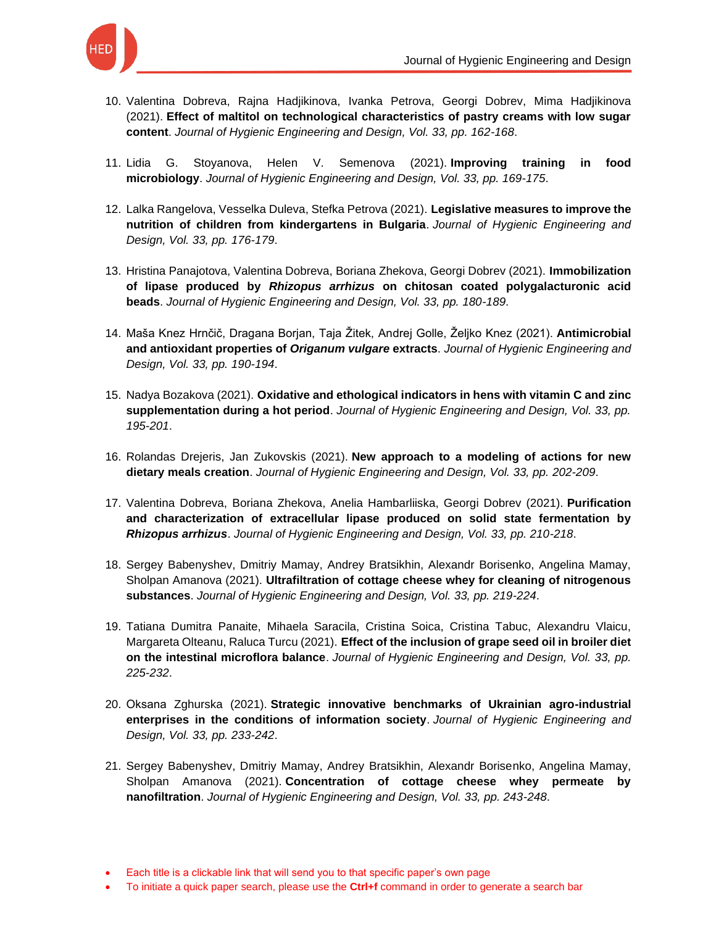

- 10. [Valentina Dobreva, Rajna Hadjikinova, Ivanka Petrova, Georgi Dobrev, Mima Hadjikinova](https://keypublishing.org/jhed/jhed-volumes/jhed-volume-33-fqs-10-olga-jokanovic-bozidarka-markovic-jelena-miocinovic-slavko-mirecki-2020-technology-and-quality-of-kucki-cheese-traditional-montenegrin-brined-cheese/)  (2021). **[Effect of maltitol on technological characteristics of pastry creams with low sugar](https://keypublishing.org/jhed/jhed-volumes/jhed-volume-33-fqs-10-olga-jokanovic-bozidarka-markovic-jelena-miocinovic-slavko-mirecki-2020-technology-and-quality-of-kucki-cheese-traditional-montenegrin-brined-cheese/)  content**. *[Journal of Hygienic Engineering and Design, Vol. 33, pp. 162-168](https://keypublishing.org/jhed/jhed-volumes/jhed-volume-33-fqs-10-olga-jokanovic-bozidarka-markovic-jelena-miocinovic-slavko-mirecki-2020-technology-and-quality-of-kucki-cheese-traditional-montenegrin-brined-cheese/)*.
- 11. [Lidia G. Stoyanova, Helen V. Semenova \(2021\).](https://keypublishing.org/jhed/jhed-volumes/jhed-volume-33-fpp-11-lidia-g-stoyanova-helen-v-semenova-2020-improving-training-in-food-microbiology/) **Improving training in food microbiology**. *[Journal of Hygienic Engineering and Design, Vol. 33, pp. 169-175](https://keypublishing.org/jhed/jhed-volumes/jhed-volume-33-fpp-11-lidia-g-stoyanova-helen-v-semenova-2020-improving-training-in-food-microbiology/)*.
- 12. [Lalka Rangelova, Vesselka Duleva, Stefka Petrova \(2021\).](https://keypublishing.org/jhed/jhed-volumes/jhed-volume-33-fpp-12-lalka-rangelova-vesselka-duleva-stefka-petrova-2020-legislative-measures-to-improve-the-nutrition-of-children-from-kindergartens-in-bulgaria/) **Legislative measures to improve the [nutrition of children from kindergartens in Bulgaria](https://keypublishing.org/jhed/jhed-volumes/jhed-volume-33-fpp-12-lalka-rangelova-vesselka-duleva-stefka-petrova-2020-legislative-measures-to-improve-the-nutrition-of-children-from-kindergartens-in-bulgaria/)**. *Journal of Hygienic Engineering and [Design, Vol. 33, pp. 176-179](https://keypublishing.org/jhed/jhed-volumes/jhed-volume-33-fpp-12-lalka-rangelova-vesselka-duleva-stefka-petrova-2020-legislative-measures-to-improve-the-nutrition-of-children-from-kindergartens-in-bulgaria/)*.
- 13. [Hristina Panajotova, Valentina Dobreva, Boriana Zhekova, Georgi Dobrev \(2021\).](https://keypublishing.org/jhed/jhed-volumes/jhed-volume-33-fpp-13-hristina-panajotova-valentina-dobreva-boriana-zhekova-georgi-dobrev-2020-immobilization-of-lipase-produced-by-rhizopus-arrhizus-on-chitosan-coated-polygalacturonic/) **Immobilization of lipase produced by** *Rhizopus arrhizus* **[on chitosan coated polygalacturonic acid](https://keypublishing.org/jhed/jhed-volumes/jhed-volume-33-fpp-13-hristina-panajotova-valentina-dobreva-boriana-zhekova-georgi-dobrev-2020-immobilization-of-lipase-produced-by-rhizopus-arrhizus-on-chitosan-coated-polygalacturonic/)  beads**. *[Journal of Hygienic Engineering and Design, Vol. 33, pp. 180-189](https://keypublishing.org/jhed/jhed-volumes/jhed-volume-33-fpp-13-hristina-panajotova-valentina-dobreva-boriana-zhekova-georgi-dobrev-2020-immobilization-of-lipase-produced-by-rhizopus-arrhizus-on-chitosan-coated-polygalacturonic/)*.
- 14. [Maša Knez Hrnčič, Dragana Borjan, Taja Žitek, Andrej Golle, Željko Knez \(2021\).](https://keypublishing.org/jhed/jhed-volumes/jhed-volume-33-fpp-14-masa-knez-hrncic-dragana-borjan-taja-zitek-andrej-golle-zeljko-knez-2020-antimicrobial-and-antioxidant-properties-of-origanum-vulgare-extracts/) **Antimicrobial and antioxidant properties of** *Origanum vulgare* **extracts**. *[Journal of Hygienic Engineering and](https://keypublishing.org/jhed/jhed-volumes/jhed-volume-33-fpp-14-masa-knez-hrncic-dragana-borjan-taja-zitek-andrej-golle-zeljko-knez-2020-antimicrobial-and-antioxidant-properties-of-origanum-vulgare-extracts/)  [Design, Vol. 33, pp. 190-194](https://keypublishing.org/jhed/jhed-volumes/jhed-volume-33-fpp-14-masa-knez-hrncic-dragana-borjan-taja-zitek-andrej-golle-zeljko-knez-2020-antimicrobial-and-antioxidant-properties-of-origanum-vulgare-extracts/)*.
- 15. Nadya Bozakova (2021). **[Oxidative and ethological indicators in hens with vitamin C](https://keypublishing.org/jhed/jhed-volumes/jhed-volume-33-fpp-15-nadya-bozakova-2020-oxidative-and-ethological-indicators-in-hens-with-vitamin-c-and-zinc-supplementation-during-a-hot-period/) and zinc supplementation during a hot period**. *[Journal of Hygienic Engineering and Design, Vol. 33, pp.](https://keypublishing.org/jhed/jhed-volumes/jhed-volume-33-fpp-15-nadya-bozakova-2020-oxidative-and-ethological-indicators-in-hens-with-vitamin-c-and-zinc-supplementation-during-a-hot-period/)  [195-201](https://keypublishing.org/jhed/jhed-volumes/jhed-volume-33-fpp-15-nadya-bozakova-2020-oxidative-and-ethological-indicators-in-hens-with-vitamin-c-and-zinc-supplementation-during-a-hot-period/)*.
- 16. Rolandas Drejeris, Jan Zukovskis (2021). **[New approach to a modeling of actions for new](https://keypublishing.org/jhed/jhed-volumes/jhed-volume-33-fpp-16-rolandas-drejeris-jan-zukovskis-2020-new-approach-to-a-modeling-of-actions-for-new-dietary-meals-creation/)  dietary meals creation**. *[Journal of Hygienic Engineering and Design, Vol. 33, pp. 202-209](https://keypublishing.org/jhed/jhed-volumes/jhed-volume-33-fpp-16-rolandas-drejeris-jan-zukovskis-2020-new-approach-to-a-modeling-of-actions-for-new-dietary-meals-creation/)*.
- 17. [Valentina Dobreva, Boriana Zhekova, Anelia Hambarliiska, Georgi Dobrev \(2021\).](https://keypublishing.org/jhed/jhed-volumes/jhed-volume-33-fpp-17-valentina-dobreva-boriana-zhekova-anelia-hambarliiska-georgi-dobrev-2020-purification-and-characterization-of-extracellular-lipase-produced-on-solid-state-fermenta/) **Purification [and characterization of extracellular lipase produced on solid state fermentation by](https://keypublishing.org/jhed/jhed-volumes/jhed-volume-33-fpp-17-valentina-dobreva-boriana-zhekova-anelia-hambarliiska-georgi-dobrev-2020-purification-and-characterization-of-extracellular-lipase-produced-on-solid-state-fermenta/)**  *Rhizopus arrhizus*. *[Journal of Hygienic Engineering and Design, Vol. 33, pp. 210-218](https://keypublishing.org/jhed/jhed-volumes/jhed-volume-33-fpp-17-valentina-dobreva-boriana-zhekova-anelia-hambarliiska-georgi-dobrev-2020-purification-and-characterization-of-extracellular-lipase-produced-on-solid-state-fermenta/)*.
- 18. [Sergey Babenyshev, Dmitriy Mamay, Andrey Bratsikhin, Alexandr Borisenko, Angelina Mamay,](https://keypublishing.org/jhed/jhed-volumes/jhed-volume-33-fpp-18-sergey-babenyshev-dmitriy-mamay-andrey-bratsikhin-alexandr-borisenko-angelina-mamay-sholpan-amanova-2020-ultrafiltration-of-cottage-cheese-whey-for-cleaning-of-n/)  Sholpan Amanova (2021). **[Ultrafiltration of cottage cheese whey for cleaning of nitrogenous](https://keypublishing.org/jhed/jhed-volumes/jhed-volume-33-fpp-18-sergey-babenyshev-dmitriy-mamay-andrey-bratsikhin-alexandr-borisenko-angelina-mamay-sholpan-amanova-2020-ultrafiltration-of-cottage-cheese-whey-for-cleaning-of-n/)  substances**. *[Journal of Hygienic Engineering and Design, Vol. 33, pp. 219-224](https://keypublishing.org/jhed/jhed-volumes/jhed-volume-33-fpp-18-sergey-babenyshev-dmitriy-mamay-andrey-bratsikhin-alexandr-borisenko-angelina-mamay-sholpan-amanova-2020-ultrafiltration-of-cottage-cheese-whey-for-cleaning-of-n/)*.
- 19. [Tatiana Dumitra Panaite, Mihaela Saracila, Cristina Soica, Cristina Tabuc, Alexandru Vlaicu,](https://keypublishing.org/jhed/jhed-volumes/jhed-volume-33-fpp-19-tatiana-dumitra-panaite-mihaela-saracila-cristina-soica-cristina-tabuc-alexandru-vlaicu-margareta-olteanu-raluca-turcu-2020-effect-of-the-inclusion-of-grape-see/)  Margareta Olteanu, Raluca Turcu (2021). **[Effect of the inclusion of grape seed oil in broiler diet](https://keypublishing.org/jhed/jhed-volumes/jhed-volume-33-fpp-19-tatiana-dumitra-panaite-mihaela-saracila-cristina-soica-cristina-tabuc-alexandru-vlaicu-margareta-olteanu-raluca-turcu-2020-effect-of-the-inclusion-of-grape-see/)  on the intestinal microflora balance**. *[Journal of Hygienic Engineering and Design, Vol. 33, pp.](https://keypublishing.org/jhed/jhed-volumes/jhed-volume-33-fpp-19-tatiana-dumitra-panaite-mihaela-saracila-cristina-soica-cristina-tabuc-alexandru-vlaicu-margareta-olteanu-raluca-turcu-2020-effect-of-the-inclusion-of-grape-see/)  [225-232](https://keypublishing.org/jhed/jhed-volumes/jhed-volume-33-fpp-19-tatiana-dumitra-panaite-mihaela-saracila-cristina-soica-cristina-tabuc-alexandru-vlaicu-margareta-olteanu-raluca-turcu-2020-effect-of-the-inclusion-of-grape-see/)*.
- 20. Оksana Zghurska (2021). **[Strategic innovative benchmarks of Ukrainian agro-industrial](https://keypublishing.org/jhed/jhed-volumes/jhed-volume-33-fpp-20-%d0%beksana-zghurska-2020-strategic-innovative-benchmarks-of-ukrainian-agro-industrial-enterprises-in-the-conditions-of-information-society/)  [enterprises in the conditions of information society](https://keypublishing.org/jhed/jhed-volumes/jhed-volume-33-fpp-20-%d0%beksana-zghurska-2020-strategic-innovative-benchmarks-of-ukrainian-agro-industrial-enterprises-in-the-conditions-of-information-society/)**. *Journal of Hygienic Engineering and [Design, Vol. 33, pp. 233-242](https://keypublishing.org/jhed/jhed-volumes/jhed-volume-33-fpp-20-%d0%beksana-zghurska-2020-strategic-innovative-benchmarks-of-ukrainian-agro-industrial-enterprises-in-the-conditions-of-information-society/)*.
- 21. [Sergey Babenyshev, Dmitriy Mamay, Andrey Bratsikhin, Alexandr Borisenko, Angelina Mamay,](https://keypublishing.org/jhed/jhed-volumes/jhed-volume-33-fpp-21-sergey-babenyshev-dmitriy-mamay-andrey-bratsikhin-alexandr-borisenko-angelina-mamay-sholpan-amanova-2020-concentration-of-cottage-cheese-whey-permeate-by-nanofil/)  Sholpan Amanova (2021). **[Concentration of cottage cheese whey permeate by](https://keypublishing.org/jhed/jhed-volumes/jhed-volume-33-fpp-21-sergey-babenyshev-dmitriy-mamay-andrey-bratsikhin-alexandr-borisenko-angelina-mamay-sholpan-amanova-2020-concentration-of-cottage-cheese-whey-permeate-by-nanofil/)  nanofiltration**. *[Journal of Hygienic Engineering and Design, Vol. 33, pp. 243-248](https://keypublishing.org/jhed/jhed-volumes/jhed-volume-33-fpp-21-sergey-babenyshev-dmitriy-mamay-andrey-bratsikhin-alexandr-borisenko-angelina-mamay-sholpan-amanova-2020-concentration-of-cottage-cheese-whey-permeate-by-nanofil/)*.

• To initiate a quick paper search, please use the **Ctrl+f** command in order to generate a search bar

<sup>•</sup> Each title is a clickable link that will send you to that specific paper's own page